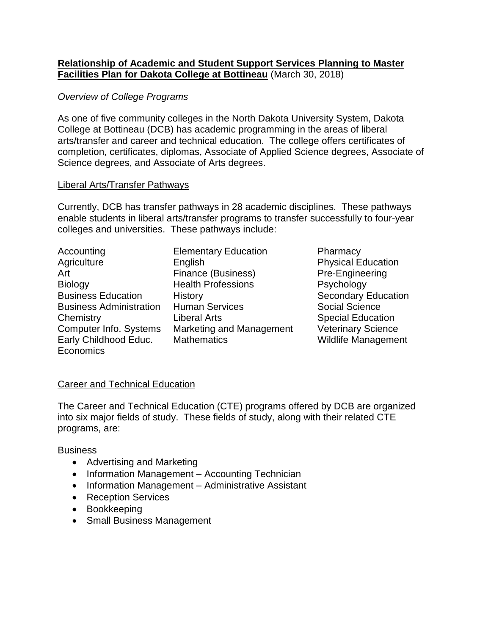## **Relationship of Academic and Student Support Services Planning to Master Facilities Plan for Dakota College at Bottineau** (March 30, 2018)

## *Overview of College Programs*

As one of five community colleges in the North Dakota University System, Dakota College at Bottineau (DCB) has academic programming in the areas of liberal arts/transfer and career and technical education. The college offers certificates of completion, certificates, diplomas, Associate of Applied Science degrees, Associate of Science degrees, and Associate of Arts degrees.

## Liberal Arts/Transfer Pathways

Currently, DCB has transfer pathways in 28 academic disciplines. These pathways enable students in liberal arts/transfer programs to transfer successfully to four-year colleges and universities. These pathways include:

| <b>Elementary Educati</b> |
|---------------------------|
| English                   |
| Finance (Business)        |
| <b>Health Professions</b> |
| History                   |
| <b>Human Services</b>     |
| <b>Liberal Arts</b>       |
| Marketing and Man         |
| <b>Mathematics</b>        |
|                           |
|                           |

ion **Pharmacy Physical Education Pre-Engineering Psychology Secondary Education** Social Science **Special Education** agement Veterinary Science **Wildlife Management** 

# Career and Technical Education

The Career and Technical Education (CTE) programs offered by DCB are organized into six major fields of study. These fields of study, along with their related CTE programs, are:

## **Business**

- Advertising and Marketing
- Information Management Accounting Technician
- Information Management Administrative Assistant
- Reception Services
- Bookkeeping
- Small Business Management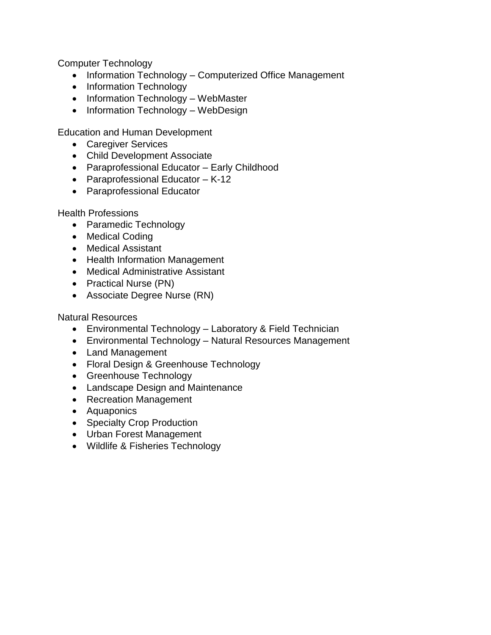Computer Technology

- Information Technology Computerized Office Management
- Information Technology
- Information Technology WebMaster
- Information Technology WebDesign

Education and Human Development

- Caregiver Services
- Child Development Associate
- Paraprofessional Educator Early Childhood
- Paraprofessional Educator K-12
- Paraprofessional Educator

Health Professions

- Paramedic Technology
- Medical Coding
- Medical Assistant
- Health Information Management
- Medical Administrative Assistant
- Practical Nurse (PN)
- Associate Degree Nurse (RN)

Natural Resources

- Environmental Technology Laboratory & Field Technician
- Environmental Technology Natural Resources Management
- Land Management
- Floral Design & Greenhouse Technology
- Greenhouse Technology
- Landscape Design and Maintenance
- Recreation Management
- Aquaponics
- Specialty Crop Production
- Urban Forest Management
- Wildlife & Fisheries Technology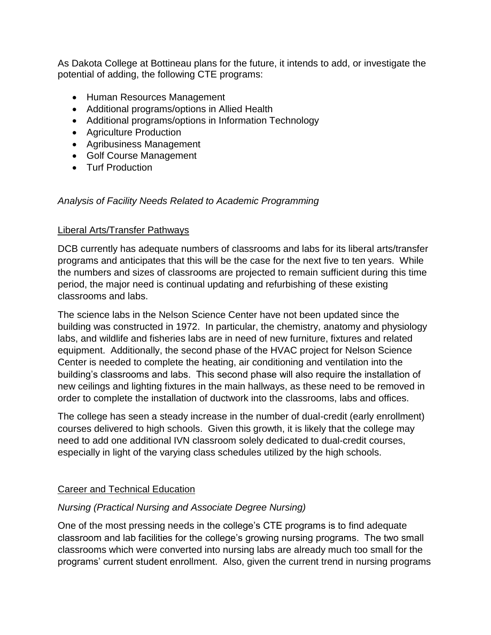As Dakota College at Bottineau plans for the future, it intends to add, or investigate the potential of adding, the following CTE programs:

- Human Resources Management
- Additional programs/options in Allied Health
- Additional programs/options in Information Technology
- Agriculture Production
- Agribusiness Management
- Golf Course Management
- Turf Production

# *Analysis of Facility Needs Related to Academic Programming*

# Liberal Arts/Transfer Pathways

DCB currently has adequate numbers of classrooms and labs for its liberal arts/transfer programs and anticipates that this will be the case for the next five to ten years. While the numbers and sizes of classrooms are projected to remain sufficient during this time period, the major need is continual updating and refurbishing of these existing classrooms and labs.

The science labs in the Nelson Science Center have not been updated since the building was constructed in 1972. In particular, the chemistry, anatomy and physiology labs, and wildlife and fisheries labs are in need of new furniture, fixtures and related equipment. Additionally, the second phase of the HVAC project for Nelson Science Center is needed to complete the heating, air conditioning and ventilation into the building's classrooms and labs. This second phase will also require the installation of new ceilings and lighting fixtures in the main hallways, as these need to be removed in order to complete the installation of ductwork into the classrooms, labs and offices.

The college has seen a steady increase in the number of dual-credit (early enrollment) courses delivered to high schools. Given this growth, it is likely that the college may need to add one additional IVN classroom solely dedicated to dual-credit courses, especially in light of the varying class schedules utilized by the high schools.

# Career and Technical Education

# *Nursing (Practical Nursing and Associate Degree Nursing)*

One of the most pressing needs in the college's CTE programs is to find adequate classroom and lab facilities for the college's growing nursing programs. The two small classrooms which were converted into nursing labs are already much too small for the programs' current student enrollment. Also, given the current trend in nursing programs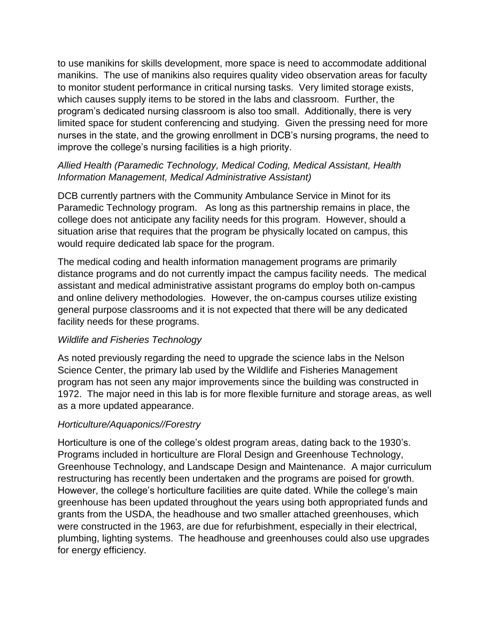to use manikins for skills development, more space is need to accommodate additional manikins. The use of manikins also requires quality video observation areas for faculty to monitor student performance in critical nursing tasks. Very limited storage exists, which causes supply items to be stored in the labs and classroom. Further, the program's dedicated nursing classroom is also too small. Additionally, there is very limited space for student conferencing and studying. Given the pressing need for more nurses in the state, and the growing enrollment in DCB's nursing programs, the need to improve the college's nursing facilities is a high priority.

# *Allied Health (Paramedic Technology, Medical Coding, Medical Assistant, Health Information Management, Medical Administrative Assistant)*

DCB currently partners with the Community Ambulance Service in Minot for its Paramedic Technology program. As long as this partnership remains in place, the college does not anticipate any facility needs for this program. However, should a situation arise that requires that the program be physically located on campus, this would require dedicated lab space for the program.

The medical coding and health information management programs are primarily distance programs and do not currently impact the campus facility needs. The medical assistant and medical administrative assistant programs do employ both on-campus and online delivery methodologies. However, the on-campus courses utilize existing general purpose classrooms and it is not expected that there will be any dedicated facility needs for these programs.

# *Wildlife and Fisheries Technology*

As noted previously regarding the need to upgrade the science labs in the Nelson Science Center, the primary lab used by the Wildlife and Fisheries Management program has not seen any major improvements since the building was constructed in 1972. The major need in this lab is for more flexible furniture and storage areas, as well as a more updated appearance.

# *Horticulture/Aquaponics//Forestry*

Horticulture is one of the college's oldest program areas, dating back to the 1930's. Programs included in horticulture are Floral Design and Greenhouse Technology, Greenhouse Technology, and Landscape Design and Maintenance. A major curriculum restructuring has recently been undertaken and the programs are poised for growth. However, the college's horticulture facilities are quite dated. While the college's main greenhouse has been updated throughout the years using both appropriated funds and grants from the USDA, the headhouse and two smaller attached greenhouses, which were constructed in the 1963, are due for refurbishment, especially in their electrical, plumbing, lighting systems. The headhouse and greenhouses could also use upgrades for energy efficiency.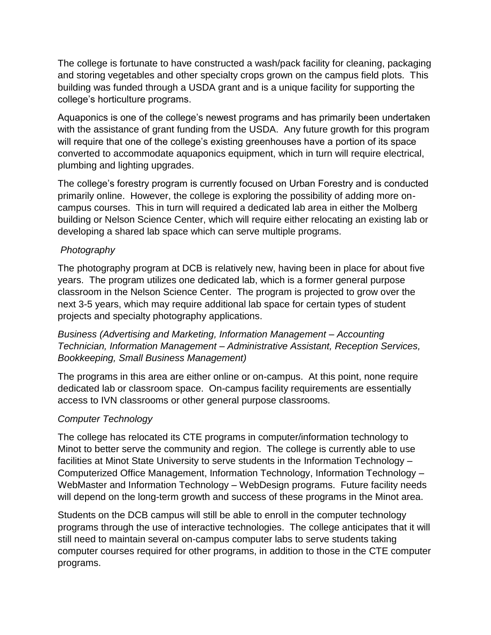The college is fortunate to have constructed a wash/pack facility for cleaning, packaging and storing vegetables and other specialty crops grown on the campus field plots. This building was funded through a USDA grant and is a unique facility for supporting the college's horticulture programs.

Aquaponics is one of the college's newest programs and has primarily been undertaken with the assistance of grant funding from the USDA. Any future growth for this program will require that one of the college's existing greenhouses have a portion of its space converted to accommodate aquaponics equipment, which in turn will require electrical, plumbing and lighting upgrades.

The college's forestry program is currently focused on Urban Forestry and is conducted primarily online. However, the college is exploring the possibility of adding more oncampus courses. This in turn will required a dedicated lab area in either the Molberg building or Nelson Science Center, which will require either relocating an existing lab or developing a shared lab space which can serve multiple programs.

# *Photography*

The photography program at DCB is relatively new, having been in place for about five years. The program utilizes one dedicated lab, which is a former general purpose classroom in the Nelson Science Center. The program is projected to grow over the next 3-5 years, which may require additional lab space for certain types of student projects and specialty photography applications.

*Business (Advertising and Marketing, Information Management – Accounting Technician, Information Management – Administrative Assistant, Reception Services, Bookkeeping, Small Business Management)*

The programs in this area are either online or on-campus. At this point, none require dedicated lab or classroom space. On-campus facility requirements are essentially access to IVN classrooms or other general purpose classrooms.

# *Computer Technology*

The college has relocated its CTE programs in computer/information technology to Minot to better serve the community and region. The college is currently able to use facilities at Minot State University to serve students in the Information Technology – Computerized Office Management, Information Technology, Information Technology – WebMaster and Information Technology – WebDesign programs. Future facility needs will depend on the long-term growth and success of these programs in the Minot area.

Students on the DCB campus will still be able to enroll in the computer technology programs through the use of interactive technologies. The college anticipates that it will still need to maintain several on-campus computer labs to serve students taking computer courses required for other programs, in addition to those in the CTE computer programs.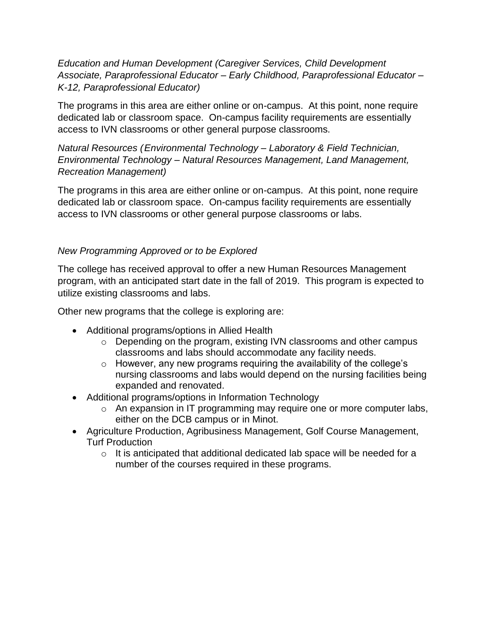*Education and Human Development (Caregiver Services, Child Development Associate, Paraprofessional Educator – Early Childhood, Paraprofessional Educator – K-12, Paraprofessional Educator)*

The programs in this area are either online or on-campus. At this point, none require dedicated lab or classroom space. On-campus facility requirements are essentially access to IVN classrooms or other general purpose classrooms.

*Natural Resources (Environmental Technology – Laboratory & Field Technician, Environmental Technology – Natural Resources Management, Land Management, Recreation Management)*

The programs in this area are either online or on-campus. At this point, none require dedicated lab or classroom space. On-campus facility requirements are essentially access to IVN classrooms or other general purpose classrooms or labs.

# *New Programming Approved or to be Explored*

The college has received approval to offer a new Human Resources Management program, with an anticipated start date in the fall of 2019. This program is expected to utilize existing classrooms and labs.

Other new programs that the college is exploring are:

- Additional programs/options in Allied Health
	- o Depending on the program, existing IVN classrooms and other campus classrooms and labs should accommodate any facility needs.
	- o However, any new programs requiring the availability of the college's nursing classrooms and labs would depend on the nursing facilities being expanded and renovated.
- Additional programs/options in Information Technology
	- o An expansion in IT programming may require one or more computer labs, either on the DCB campus or in Minot.
- Agriculture Production, Agribusiness Management, Golf Course Management, Turf Production
	- $\circ$  It is anticipated that additional dedicated lab space will be needed for a number of the courses required in these programs.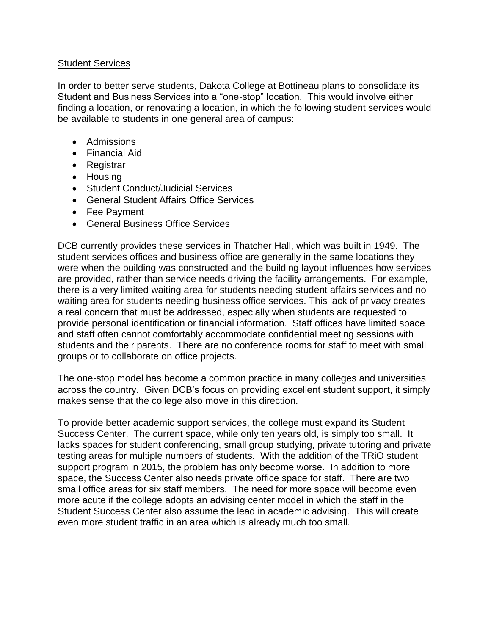### Student Services

In order to better serve students, Dakota College at Bottineau plans to consolidate its Student and Business Services into a "one-stop" location. This would involve either finding a location, or renovating a location, in which the following student services would be available to students in one general area of campus:

- Admissions
- Financial Aid
- Registrar
- Housing
- Student Conduct/Judicial Services
- General Student Affairs Office Services
- Fee Payment
- General Business Office Services

DCB currently provides these services in Thatcher Hall, which was built in 1949. The student services offices and business office are generally in the same locations they were when the building was constructed and the building layout influences how services are provided, rather than service needs driving the facility arrangements. For example, there is a very limited waiting area for students needing student affairs services and no waiting area for students needing business office services. This lack of privacy creates a real concern that must be addressed, especially when students are requested to provide personal identification or financial information. Staff offices have limited space and staff often cannot comfortably accommodate confidential meeting sessions with students and their parents. There are no conference rooms for staff to meet with small groups or to collaborate on office projects.

The one-stop model has become a common practice in many colleges and universities across the country. Given DCB's focus on providing excellent student support, it simply makes sense that the college also move in this direction.

To provide better academic support services, the college must expand its Student Success Center. The current space, while only ten years old, is simply too small. It lacks spaces for student conferencing, small group studying, private tutoring and private testing areas for multiple numbers of students. With the addition of the TRiO student support program in 2015, the problem has only become worse. In addition to more space, the Success Center also needs private office space for staff. There are two small office areas for six staff members. The need for more space will become even more acute if the college adopts an advising center model in which the staff in the Student Success Center also assume the lead in academic advising. This will create even more student traffic in an area which is already much too small.